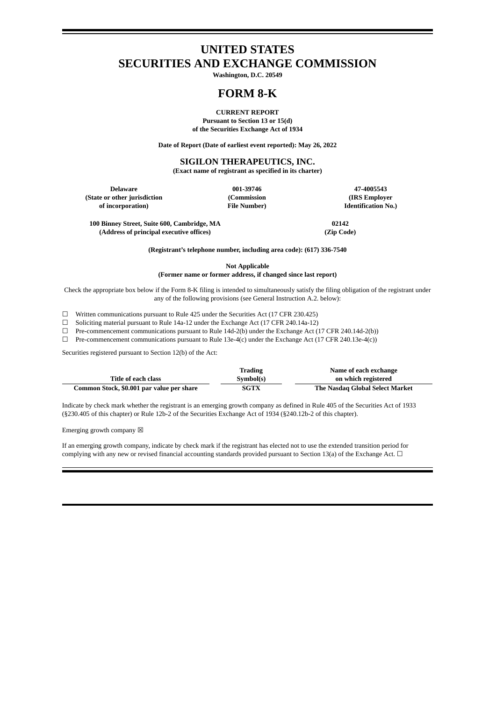# **UNITED STATES SECURITIES AND EXCHANGE COMMISSION**

**Washington, D.C. 20549**

# **FORM 8-K**

**CURRENT REPORT Pursuant to Section 13 or 15(d) of the Securities Exchange Act of 1934**

**Date of Report (Date of earliest event reported): May 26, 2022**

### **SIGILON THERAPEUTICS, INC.**

**(Exact name of registrant as specified in its charter)**

**Delaware 001-39746 47-4005543 (State or other jurisdiction (Commission (IRS Employer**

**Identification No.)** 

**100 Binney Street, Suite 600, Cambridge, MA 02142 (Address of principal executive offices) (Zip Code)**

**(Registrant's telephone number, including area code): (617) 336-7540**

**Not Applicable**

**(Former name or former address, if changed since last report)**

Check the appropriate box below if the Form 8-K filing is intended to simultaneously satisfy the filing obligation of the registrant under any of the following provisions (see General Instruction A.2. below):

☐ Written communications pursuant to Rule 425 under the Securities Act (17 CFR 230.425)

☐ Soliciting material pursuant to Rule 14a-12 under the Exchange Act (17 CFR 240.14a-12)

☐ Pre-commencement communications pursuant to Rule 14d-2(b) under the Exchange Act (17 CFR 240.14d-2(b))

☐ Pre-commencement communications pursuant to Rule 13e-4(c) under the Exchange Act (17 CFR 240.13e-4(c))

Securities registered pursuant to Section 12(b) of the Act:

|                                           | Trading     | Name of each exchange           |
|-------------------------------------------|-------------|---------------------------------|
| Title of each class                       | Symbol(s)   | on which registered             |
| Common Stock, \$0.001 par value per share | <b>SGTX</b> | The Nasdag Global Select Market |

Indicate by check mark whether the registrant is an emerging growth company as defined in Rule 405 of the Securities Act of 1933 (§230.405 of this chapter) or Rule 12b-2 of the Securities Exchange Act of 1934 (§240.12b-2 of this chapter).

Emerging growth company  $\boxtimes$ 

If an emerging growth company, indicate by check mark if the registrant has elected not to use the extended transition period for complying with any new or revised financial accounting standards provided pursuant to Section 13(a) of the Exchange Act.  $\Box$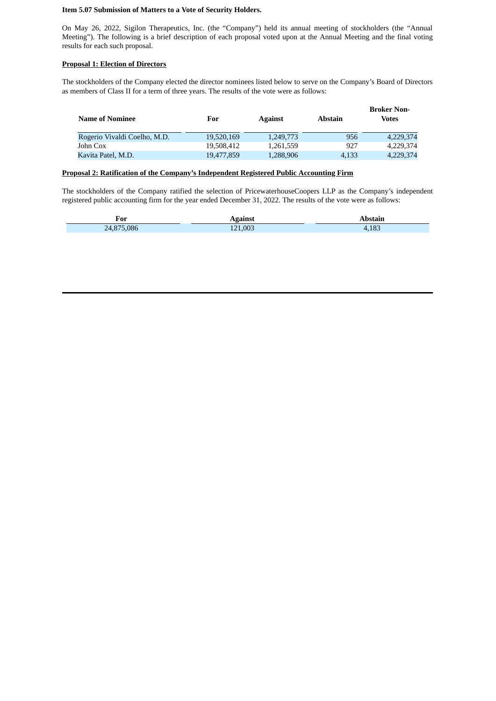### **Item 5.07 Submission of Matters to a Vote of Security Holders.**

On May 26, 2022, Sigilon Therapeutics, Inc. (the "Company") held its annual meeting of stockholders (the "Annual Meeting"). The following is a brief description of each proposal voted upon at the Annual Meeting and the final voting results for each such proposal.

#### **Proposal 1: Election of Directors**

The stockholders of the Company elected the director nominees listed below to serve on the Company's Board of Directors as members of Class II for a term of three years. The results of the vote were as follows:

| Name of Nominee              | For        | <b>Against</b> | <b>Abstain</b> | <b>Broker Non-</b><br>Votes |
|------------------------------|------------|----------------|----------------|-----------------------------|
| Rogerio Vivaldi Coelho, M.D. | 19.520.169 | 1,249,773      | 956            | 4,229,374                   |
| John Cox                     | 19,508,412 | 1.261.559      | 927            | 4.229.374                   |
| Kavita Patel, M.D.           | 19,477,859 | 1,288,906      | 4.133          | 4,229,374                   |

#### **Proposal 2: Ratification of the Company's Independent Registered Public Accounting Firm**

The stockholders of the Company ratified the selection of PricewaterhouseCoopers LLP as the Company's independent registered public accounting firm for the year ended December 31, 2022. The results of the vote were as follows:

| For        | Against | Abstain |  |
|------------|---------|---------|--|
| 24,875,086 | 121.003 | .183    |  |